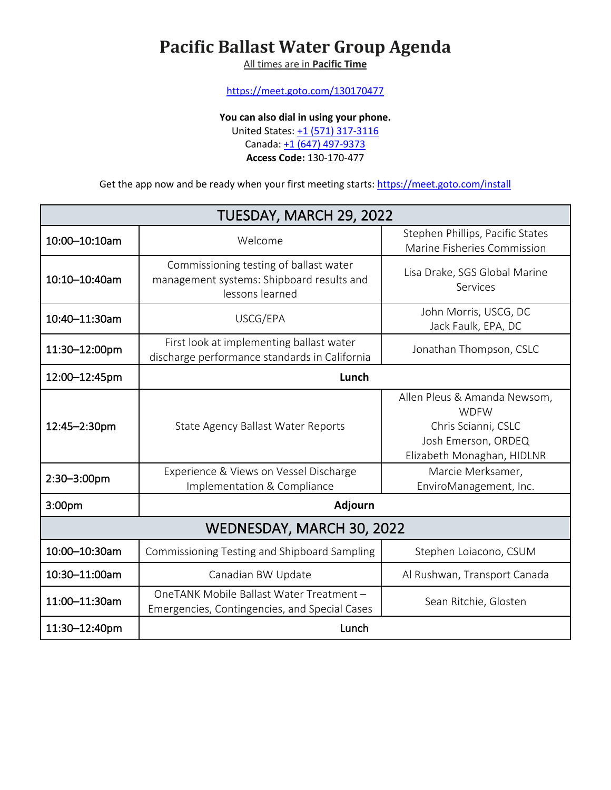## **Pacific Ballast Water Group Agenda**

All times are in **Pacific Time**

https://meet.goto.com/130170477

**You can also dial in using your phone.**

United States: +1 (571) 317-3116

Canada: +1 (647) 497-9373

**Access Code:** 130-170-477

Get the app now and be ready when your first meeting starts: https://meet.goto.com/install

| TUESDAY, MARCH 29, 2022   |                                                                                                        |                                                                                                                         |  |
|---------------------------|--------------------------------------------------------------------------------------------------------|-------------------------------------------------------------------------------------------------------------------------|--|
| 10:00-10:10am             | Welcome                                                                                                | Stephen Phillips, Pacific States<br>Marine Fisheries Commission                                                         |  |
| 10:10-10:40am             | Commissioning testing of ballast water<br>management systems: Shipboard results and<br>lessons learned | Lisa Drake, SGS Global Marine<br>Services                                                                               |  |
| 10:40-11:30am             | USCG/EPA                                                                                               | John Morris, USCG, DC<br>Jack Faulk, EPA, DC                                                                            |  |
| 11:30-12:00pm             | First look at implementing ballast water<br>discharge performance standards in California              | Jonathan Thompson, CSLC                                                                                                 |  |
| 12:00-12:45pm             | Lunch                                                                                                  |                                                                                                                         |  |
| 12:45-2:30pm              | State Agency Ballast Water Reports                                                                     | Allen Pleus & Amanda Newsom,<br><b>WDFW</b><br>Chris Scianni, CSLC<br>Josh Emerson, ORDEQ<br>Elizabeth Monaghan, HIDLNR |  |
| 2:30-3:00pm               | Experience & Views on Vessel Discharge<br>Implementation & Compliance                                  | Marcie Merksamer,<br>EnviroManagement, Inc.                                                                             |  |
| 3:00pm                    | Adjourn                                                                                                |                                                                                                                         |  |
| WEDNESDAY, MARCH 30, 2022 |                                                                                                        |                                                                                                                         |  |
| 10:00-10:30am             | Commissioning Testing and Shipboard Sampling                                                           | Stephen Loiacono, CSUM                                                                                                  |  |
| 10:30-11:00am             | Canadian BW Update                                                                                     | Al Rushwan, Transport Canada                                                                                            |  |
| 11:00-11:30am             | OneTANK Mobile Ballast Water Treatment -<br>Emergencies, Contingencies, and Special Cases              | Sean Ritchie, Glosten                                                                                                   |  |
| 11:30-12:40pm             | Lunch                                                                                                  |                                                                                                                         |  |